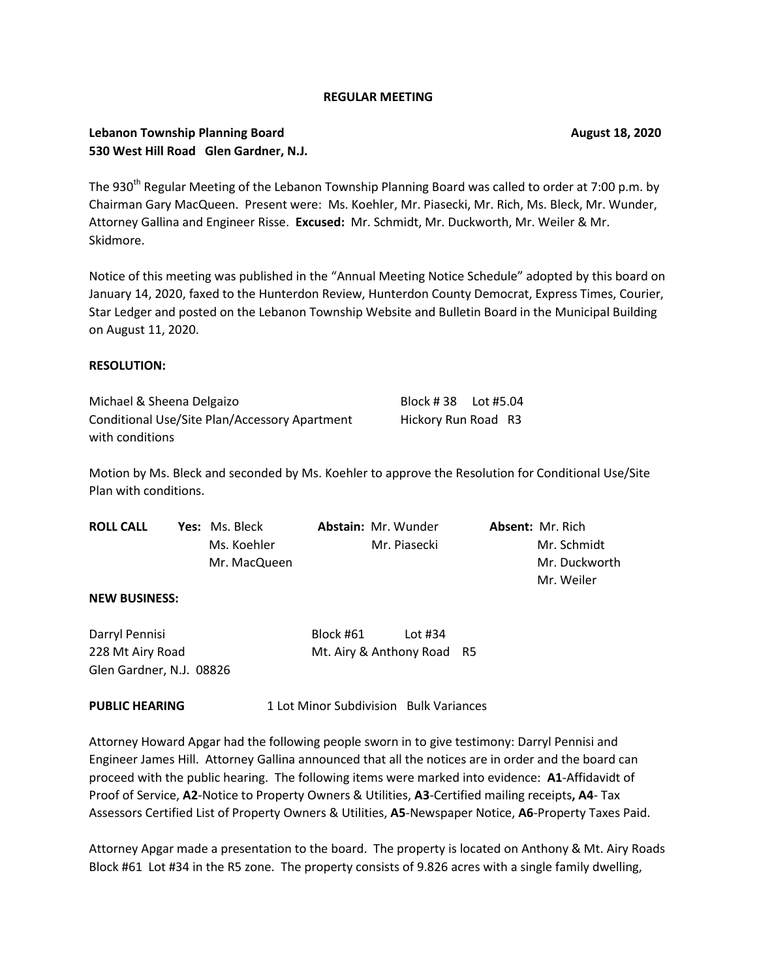### **REGULAR MEETING**

## **Lebanon Township Planning Board August 18, 2020 530 West Hill Road Glen Gardner, N.J.**

The 930<sup>th</sup> Regular Meeting of the Lebanon Township Planning Board was called to order at 7:00 p.m. by Chairman Gary MacQueen. Present were: Ms. Koehler, Mr. Piasecki, Mr. Rich, Ms. Bleck, Mr. Wunder, Attorney Gallina and Engineer Risse. **Excused:** Mr. Schmidt, Mr. Duckworth, Mr. Weiler & Mr. Skidmore.

Notice of this meeting was published in the "Annual Meeting Notice Schedule" adopted by this board on January 14, 2020, faxed to the Hunterdon Review, Hunterdon County Democrat, Express Times, Courier, Star Ledger and posted on the Lebanon Township Website and Bulletin Board in the Municipal Building on August 11, 2020.

### **RESOLUTION:**

| Michael & Sheena Delgaizo                     | Block #38    Lot #5.04 |  |
|-----------------------------------------------|------------------------|--|
| Conditional Use/Site Plan/Accessory Apartment | Hickory Run Road R3    |  |
| with conditions                               |                        |  |

Motion by Ms. Bleck and seconded by Ms. Koehler to approve the Resolution for Conditional Use/Site Plan with conditions.

| ROLL CALL            | <b>Yes:</b> Ms. Bleck | <b>Abstain: Mr. Wunder</b> | <b>Absent: Mr. Rich</b> |
|----------------------|-----------------------|----------------------------|-------------------------|
|                      | Ms. Koehler           | Mr. Piasecki               | Mr. Schmidt             |
|                      | Mr. MacQueen          |                            | Mr. Duckworth           |
|                      |                       |                            | Mr. Weiler              |
| <b>NEW BUSINESS:</b> |                       |                            |                         |

| . <i>. .</i> |  |
|--------------|--|
|              |  |
|              |  |
|              |  |

| Darryl Pennisi           | Block #61               | Lot #34 |      |
|--------------------------|-------------------------|---------|------|
| 228 Mt Airy Road         | Mt. Airy & Anthony Road |         | - R5 |
| Glen Gardner, N.J. 08826 |                         |         |      |

**PUBLIC HEARING** 1 Lot Minor Subdivision Bulk Variances

Attorney Howard Apgar had the following people sworn in to give testimony: Darryl Pennisi and Engineer James Hill. Attorney Gallina announced that all the notices are in order and the board can proceed with the public hearing. The following items were marked into evidence: **A1**-Affidavidt of Proof of Service, **A2**-Notice to Property Owners & Utilities, **A3**-Certified mailing receipts**, A4**- Tax Assessors Certified List of Property Owners & Utilities, **A5**-Newspaper Notice, **A6**-Property Taxes Paid.

Attorney Apgar made a presentation to the board. The property is located on Anthony & Mt. Airy Roads Block #61 Lot #34 in the R5 zone. The property consists of 9.826 acres with a single family dwelling,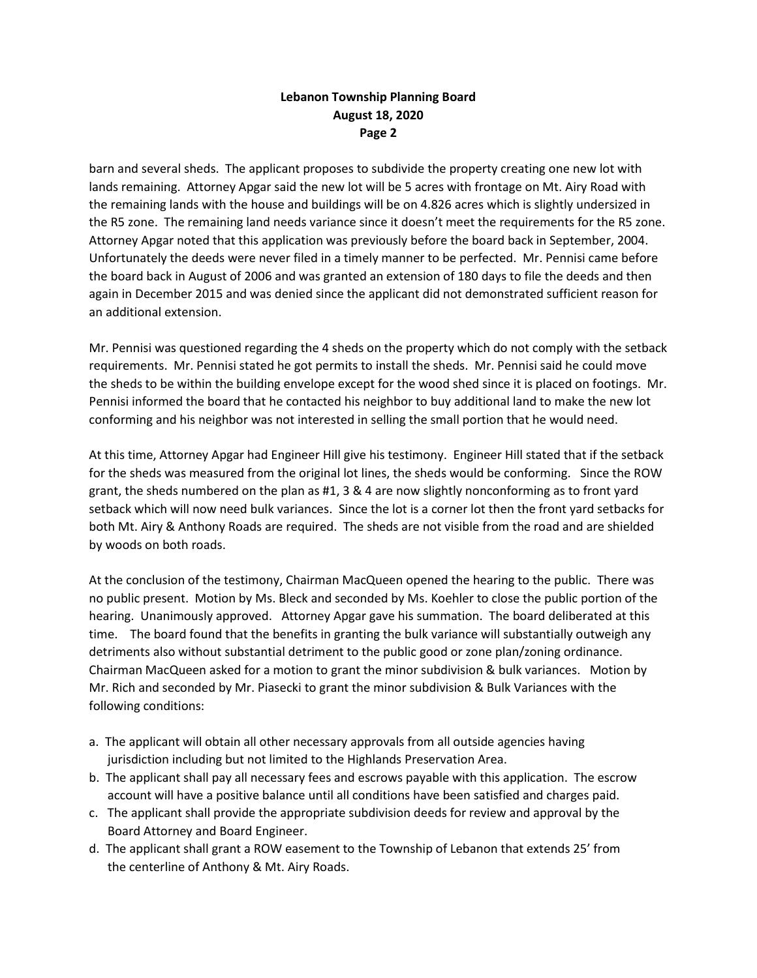# **Lebanon Township Planning Board August 18, 2020 Page 2**

barn and several sheds. The applicant proposes to subdivide the property creating one new lot with lands remaining. Attorney Apgar said the new lot will be 5 acres with frontage on Mt. Airy Road with the remaining lands with the house and buildings will be on 4.826 acres which is slightly undersized in the R5 zone. The remaining land needs variance since it doesn't meet the requirements for the R5 zone. Attorney Apgar noted that this application was previously before the board back in September, 2004. Unfortunately the deeds were never filed in a timely manner to be perfected. Mr. Pennisi came before the board back in August of 2006 and was granted an extension of 180 days to file the deeds and then again in December 2015 and was denied since the applicant did not demonstrated sufficient reason for an additional extension.

Mr. Pennisi was questioned regarding the 4 sheds on the property which do not comply with the setback requirements. Mr. Pennisi stated he got permits to install the sheds. Mr. Pennisi said he could move the sheds to be within the building envelope except for the wood shed since it is placed on footings. Mr. Pennisi informed the board that he contacted his neighbor to buy additional land to make the new lot conforming and his neighbor was not interested in selling the small portion that he would need.

At this time, Attorney Apgar had Engineer Hill give his testimony. Engineer Hill stated that if the setback for the sheds was measured from the original lot lines, the sheds would be conforming. Since the ROW grant, the sheds numbered on the plan as #1, 3 & 4 are now slightly nonconforming as to front yard setback which will now need bulk variances. Since the lot is a corner lot then the front yard setbacks for both Mt. Airy & Anthony Roads are required. The sheds are not visible from the road and are shielded by woods on both roads.

At the conclusion of the testimony, Chairman MacQueen opened the hearing to the public. There was no public present. Motion by Ms. Bleck and seconded by Ms. Koehler to close the public portion of the hearing. Unanimously approved. Attorney Apgar gave his summation. The board deliberated at this time. The board found that the benefits in granting the bulk variance will substantially outweigh any detriments also without substantial detriment to the public good or zone plan/zoning ordinance. Chairman MacQueen asked for a motion to grant the minor subdivision & bulk variances. Motion by Mr. Rich and seconded by Mr. Piasecki to grant the minor subdivision & Bulk Variances with the following conditions:

- a. The applicant will obtain all other necessary approvals from all outside agencies having jurisdiction including but not limited to the Highlands Preservation Area.
- b. The applicant shall pay all necessary fees and escrows payable with this application. The escrow account will have a positive balance until all conditions have been satisfied and charges paid.
- c. The applicant shall provide the appropriate subdivision deeds for review and approval by the Board Attorney and Board Engineer.
- d. The applicant shall grant a ROW easement to the Township of Lebanon that extends 25' from the centerline of Anthony & Mt. Airy Roads.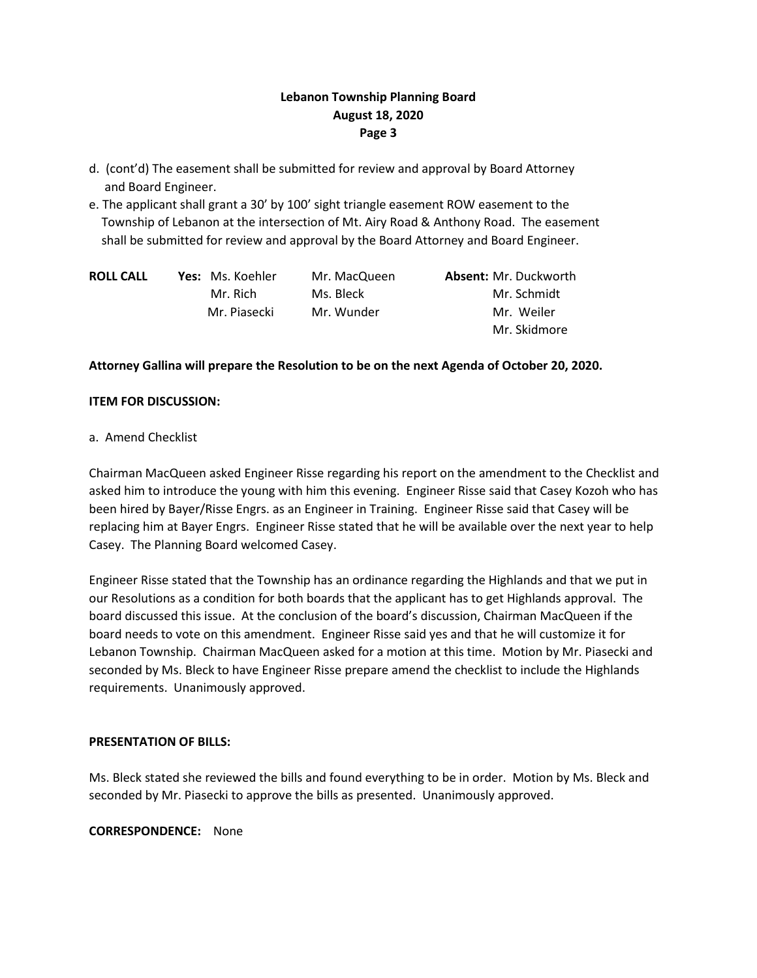# **Lebanon Township Planning Board August 18, 2020 Page 3**

- d. (cont'd) The easement shall be submitted for review and approval by Board Attorney and Board Engineer.
- e. The applicant shall grant a 30' by 100' sight triangle easement ROW easement to the Township of Lebanon at the intersection of Mt. Airy Road & Anthony Road. The easement shall be submitted for review and approval by the Board Attorney and Board Engineer.

| <b>ROLL CALL</b> | <b>Yes:</b> Ms. Koehler | Mr. MacQueen | <b>Absent: Mr. Duckworth</b> |
|------------------|-------------------------|--------------|------------------------------|
|                  | Mr. Rich                | Ms. Bleck    | Mr. Schmidt                  |
|                  | Mr. Piasecki            | Mr. Wunder   | Mr. Weiler                   |
|                  |                         |              | Mr. Skidmore                 |

## **Attorney Gallina will prepare the Resolution to be on the next Agenda of October 20, 2020.**

### **ITEM FOR DISCUSSION:**

### a. Amend Checklist

Chairman MacQueen asked Engineer Risse regarding his report on the amendment to the Checklist and asked him to introduce the young with him this evening. Engineer Risse said that Casey Kozoh who has been hired by Bayer/Risse Engrs. as an Engineer in Training. Engineer Risse said that Casey will be replacing him at Bayer Engrs. Engineer Risse stated that he will be available over the next year to help Casey. The Planning Board welcomed Casey.

Engineer Risse stated that the Township has an ordinance regarding the Highlands and that we put in our Resolutions as a condition for both boards that the applicant has to get Highlands approval. The board discussed this issue. At the conclusion of the board's discussion, Chairman MacQueen if the board needs to vote on this amendment. Engineer Risse said yes and that he will customize it for Lebanon Township. Chairman MacQueen asked for a motion at this time. Motion by Mr. Piasecki and seconded by Ms. Bleck to have Engineer Risse prepare amend the checklist to include the Highlands requirements. Unanimously approved.

### **PRESENTATION OF BILLS:**

Ms. Bleck stated she reviewed the bills and found everything to be in order. Motion by Ms. Bleck and seconded by Mr. Piasecki to approve the bills as presented. Unanimously approved.

**CORRESPONDENCE:** None